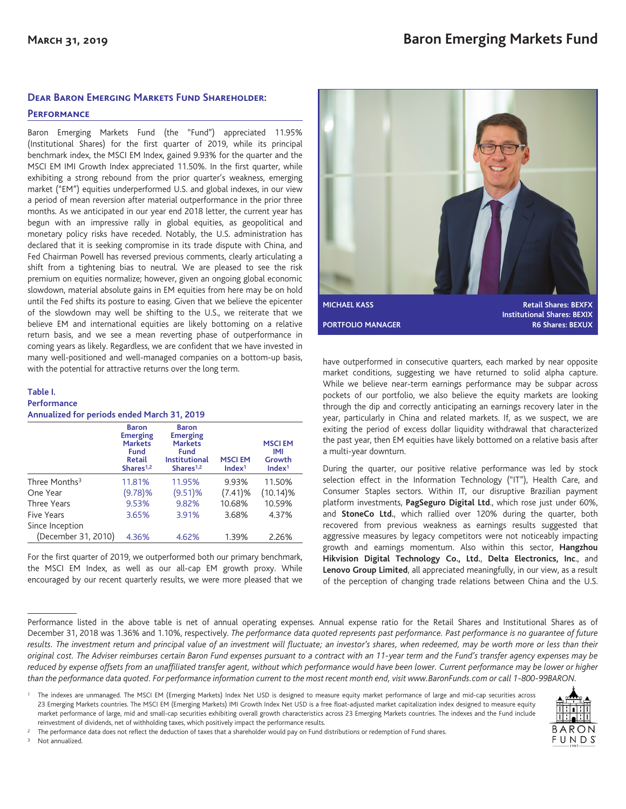## **Dear Baron Emerging Markets Fund Shareholder:**

### **Performance**

Baron Emerging Markets Fund (the "Fund") appreciated 11.95% (Institutional Shares) for the first quarter of 2019, while its principal benchmark index, the MSCI EM Index, gained 9.93% for the quarter and the MSCI EM IMI Growth Index appreciated 11.50%. In the first quarter, while exhibiting a strong rebound from the prior quarter's weakness, emerging market ("EM") equities underperformed U.S. and global indexes, in our view a period of mean reversion after material outperformance in the prior three months. As we anticipated in our year end 2018 letter, the current year has begun with an impressive rally in global equities, as geopolitical and monetary policy risks have receded. Notably, the U.S. administration has declared that it is seeking compromise in its trade dispute with China, and Fed Chairman Powell has reversed previous comments, clearly articulating a shift from a tightening bias to neutral. We are pleased to see the risk premium on equities normalize; however, given an ongoing global economic slowdown, material absolute gains in EM equities from here may be on hold until the Fed shifts its posture to easing. Given that we believe the epicenter of the slowdown may well be shifting to the U.S., we reiterate that we believe EM and international equities are likely bottoming on a relative return basis, and we see a mean reverting phase of outperformance in coming years as likely. Regardless, we are confident that we have invested in many well-positioned and well-managed companies on a bottom-up basis, with the potential for attractive returns over the long term.

#### **Table I. Performance Annualized for periods ended March 31, 2019**

| T                         |                                                                                                     |                                                                                                            |                                     |                                                      |  |  |
|---------------------------|-----------------------------------------------------------------------------------------------------|------------------------------------------------------------------------------------------------------------|-------------------------------------|------------------------------------------------------|--|--|
|                           | <b>Baron</b><br><b>Emerging</b><br><b>Markets</b><br>Fund<br><b>Retail</b><br>Shares <sup>1,2</sup> | <b>Baron</b><br><b>Emerging</b><br><b>Markets</b><br>Fund<br><b>Institutional</b><br>Shares <sup>1,2</sup> | <b>MSCIEM</b><br>Index <sup>1</sup> | <b>MSCIEM</b><br>IMI<br>Growth<br>Index <sup>1</sup> |  |  |
| Three Months <sup>3</sup> | 11.81%                                                                                              | 11.95%                                                                                                     | 9.93%                               | 11.50%                                               |  |  |
| One Year                  | (9.78)%                                                                                             | (9.51)%                                                                                                    | (7.41)%                             | $(10.14)\%$                                          |  |  |
| Three Years               | 9.53%                                                                                               | 9.82%                                                                                                      | 10.68%                              | 10.59%                                               |  |  |
| Five Years                | 3.65%                                                                                               | 3.91%                                                                                                      | 3.68%                               | 4.37%                                                |  |  |
| Since Inception           |                                                                                                     |                                                                                                            |                                     |                                                      |  |  |
| (December 31, 2010)       | 4.36%                                                                                               | 4.62%                                                                                                      | 1.39%                               | 2.26%                                                |  |  |
|                           |                                                                                                     |                                                                                                            |                                     |                                                      |  |  |

For the first quarter of 2019, we outperformed both our primary benchmark, the MSCI EM Index, as well as our all-cap EM growth proxy. While encouraged by our recent quarterly results, we were more pleased that we



have outperformed in consecutive quarters, each marked by near opposite market conditions, suggesting we have returned to solid alpha capture. While we believe near-term earnings performance may be subpar across pockets of our portfolio, we also believe the equity markets are looking through the dip and correctly anticipating an earnings recovery later in the year, particularly in China and related markets. If, as we suspect, we are exiting the period of excess dollar liquidity withdrawal that characterized the past year, then EM equities have likely bottomed on a relative basis after a multi-year downturn.

During the quarter, our positive relative performance was led by stock selection effect in the Information Technology ("IT"), Health Care, and Consumer Staples sectors. Within IT, our disruptive Brazilian payment platform investments, **PagSeguro Digital Ltd**., which rose just under 60%, and **StoneCo Ltd.**, which rallied over 120% during the quarter, both recovered from previous weakness as earnings results suggested that aggressive measures by legacy competitors were not noticeably impacting growth and earnings momentum. Also within this sector, **Hangzhou Hikvision Digital Technology Co., Ltd.**, **Delta Electronics, Inc**., and **Lenovo Group Limited**, all appreciated meaningfully, in our view, as a result of the perception of changing trade relations between China and the U.S.

Performance listed in the above table is net of annual operating expenses. Annual expense ratio for the Retail Shares and Institutional Shares as of December 31, 2018 was 1.36% and 1.10%, respectively. *The performance data quoted represents past performance. Past performance is no guarantee of future results. The investment return and principal value of an investment will fluctuate; an investor's shares, when redeemed, may be worth more or less than their original cost. The Adviser reimburses certain Baron Fund expenses pursuant to a contract with an 11-year term and the Fund's transfer agency expenses may be* reduced by expense offsets from an unaffiliated transfer agent, without which performance would have been lower. Current performance may be lower or higher *than the performance data quoted. For performance information current to the most recent month end, visit www.BaronFunds.com or call 1-800-99BARON.*

<sup>1</sup> The indexes are unmanaged. The MSCI EM (Emerging Markets) Index Net USD is designed to measure equity market performance of large and mid-cap securities across 23 Emerging Markets countries. The MSCI EM (Emerging Markets) IMI Growth Index Net USD is a free float-adjusted market capitalization index designed to measure equity market performance of large, mid and small-cap securities exhibiting overall growth characteristics across 23 Emerging Markets countries. The indexes and the Fund include reinvestment of dividends, net of withholding taxes, which positively impact the performance results.



<sup>3</sup> Not annualized.

<sup>2</sup> The performance data does not reflect the deduction of taxes that a shareholder would pay on Fund distributions or redemption of Fund shares.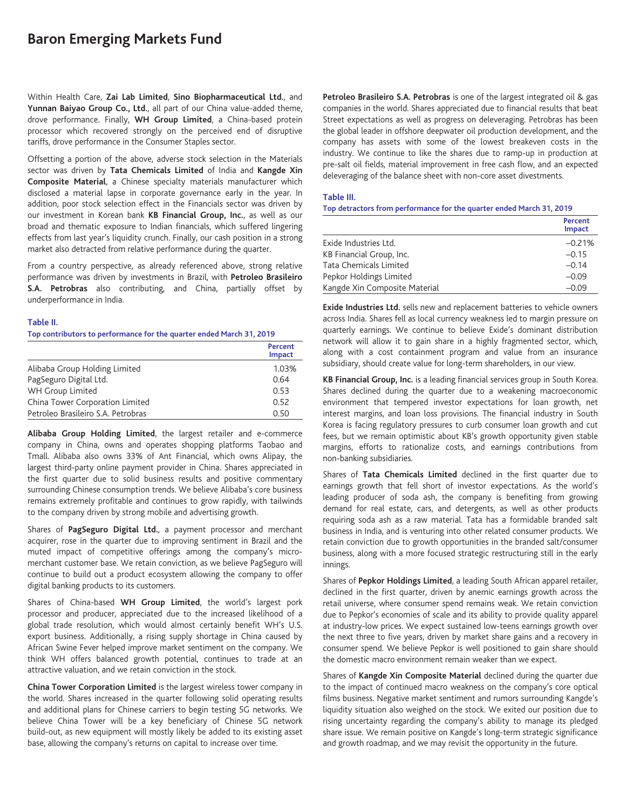# **Baron Emerging Markets Fund**

Within Health Care, **Zai Lab Limited**, **Sino Biopharmaceutical Ltd.**, and **Yunnan Baiyao Group Co., Ltd.**, all part of our China value-added theme, drove performance. Finally, **WH Group Limited**, a China-based protein processor which recovered strongly on the perceived end of disruptive tariffs, drove performance in the Consumer Staples sector.

Offsetting a portion of the above, adverse stock selection in the Materials sector was driven by **Tata Chemicals Limited** of India and **Kangde Xin Composite Material**, a Chinese specialty materials manufacturer which disclosed a material lapse in corporate governance early in the year. In addition, poor stock selection effect in the Financials sector was driven by our investment in Korean bank **KB Financial Group, Inc.**, as well as our broad and thematic exposure to Indian financials, which suffered lingering effects from last year's liquidity crunch. Finally, our cash position in a strong market also detracted from relative performance during the quarter.

From a country perspective, as already referenced above, strong relative performance was driven by investments in Brazil, with **Petroleo Brasileiro S.A. Petrobras** also contributing, and China, partially offset by underperformance in India.

#### **Table II.**

#### **Top contributors to performance for the quarter ended March 31, 2019**

|                                    | Percent<br><b>Impact</b> |
|------------------------------------|--------------------------|
| Alibaba Group Holding Limited      | 1.03%                    |
| PagSeguro Digital Ltd.             | 0.64                     |
| WH Group Limited                   | 0.53                     |
| China Tower Corporation Limited    | 0.52                     |
| Petroleo Brasileiro S.A. Petrobras | 0.50                     |

**Alibaba Group Holding Limited**, the largest retailer and e-commerce company in China, owns and operates shopping platforms Taobao and Tmall. Alibaba also owns 33% of Ant Financial, which owns Alipay, the largest third-party online payment provider in China. Shares appreciated in the first quarter due to solid business results and positive commentary surrounding Chinese consumption trends. We believe Alibaba's core business remains extremely profitable and continues to grow rapidly, with tailwinds to the company driven by strong mobile and advertising growth.

Shares of **PagSeguro Digital Ltd.**, a payment processor and merchant acquirer, rose in the quarter due to improving sentiment in Brazil and the muted impact of competitive offerings among the company's micromerchant customer base. We retain conviction, as we believe PagSeguro will continue to build out a product ecosystem allowing the company to offer digital banking products to its customers.

Shares of China-based **WH Group Limited**, the world's largest pork processor and producer, appreciated due to the increased likelihood of a global trade resolution, which would almost certainly benefit WH's U.S. export business. Additionally, a rising supply shortage in China caused by African Swine Fever helped improve market sentiment on the company. We think WH offers balanced growth potential, continues to trade at an attractive valuation, and we retain conviction in the stock.

**China Tower Corporation Limited** is the largest wireless tower company in the world. Shares increased in the quarter following solid operating results and additional plans for Chinese carriers to begin testing 5G networks. We believe China Tower will be a key beneficiary of Chinese 5G network build-out, as new equipment will mostly likely be added to its existing asset base, allowing the company's returns on capital to increase over time.

**Petroleo Brasileiro S.A. Petrobras** is one of the largest integrated oil & gas companies in the world. Shares appreciated due to financial results that beat Street expectations as well as progress on deleveraging. Petrobras has been the global leader in offshore deepwater oil production development, and the company has assets with some of the lowest breakeven costs in the industry. We continue to like the shares due to ramp-up in production at pre-salt oil fields, material improvement in free cash flow, and an expected deleveraging of the balance sheet with non-core asset divestments.

#### **Table III.**

**Top detractors from performance for the quarter ended March 31, 2019**

|                               | Percent<br>Impact |
|-------------------------------|-------------------|
| Exide Industries Ltd.         | $-0.21%$          |
| KB Financial Group, Inc.      | $-0.15$           |
| Tata Chemicals Limited        | $-0.14$           |
| Pepkor Holdings Limited       | $-0.09$           |
| Kangde Xin Composite Material | $-0.09$           |

**Exide Industries Ltd.** sells new and replacement batteries to vehicle owners across India. Shares fell as local currency weakness led to margin pressure on quarterly earnings. We continue to believe Exide's dominant distribution network will allow it to gain share in a highly fragmented sector, which, along with a cost containment program and value from an insurance subsidiary, should create value for long-term shareholders, in our view.

**KB Financial Group, Inc.** is a leading financial services group in South Korea. Shares declined during the quarter due to a weakening macroeconomic environment that tempered investor expectations for loan growth, net interest margins, and loan loss provisions. The financial industry in South Korea is facing regulatory pressures to curb consumer loan growth and cut fees, but we remain optimistic about KB's growth opportunity given stable margins, efforts to rationalize costs, and earnings contributions from non-banking subsidiaries.

Shares of **Tata Chemicals Limited** declined in the first quarter due to earnings growth that fell short of investor expectations. As the world's leading producer of soda ash, the company is benefiting from growing demand for real estate, cars, and detergents, as well as other products requiring soda ash as a raw material. Tata has a formidable branded salt business in India, and is venturing into other related consumer products. We retain conviction due to growth opportunities in the branded salt/consumer business, along with a more focused strategic restructuring still in the early innings.

Shares of **Pepkor Holdings Limited**, a leading South African apparel retailer, declined in the first quarter, driven by anemic earnings growth across the retail universe, where consumer spend remains weak. We retain conviction due to Pepkor's economies of scale and its ability to provide quality apparel at industry-low prices. We expect sustained low-teens earnings growth over the next three to five years, driven by market share gains and a recovery in consumer spend. We believe Pepkor is well positioned to gain share should the domestic macro environment remain weaker than we expect.

Shares of **Kangde Xin Composite Material** declined during the quarter due to the impact of continued macro weakness on the company's core optical films business. Negative market sentiment and rumors surrounding Kangde's liquidity situation also weighed on the stock. We exited our position due to rising uncertainty regarding the company's ability to manage its pledged share issue. We remain positive on Kangde's long-term strategic significance and growth roadmap, and we may revisit the opportunity in the future.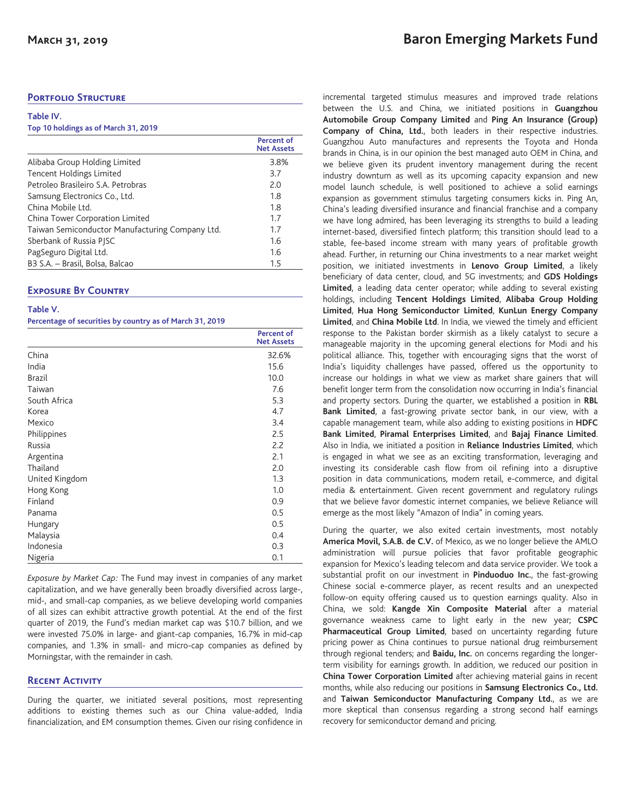### **PORTFOLIO STRUCTURE**

**Table IV.**

| Table IV. |                                      |  |  |  |
|-----------|--------------------------------------|--|--|--|
|           | Top 10 holdings as of March 31, 2019 |  |  |  |

|                                                 | Percent of<br><b>Net Assets</b> |
|-------------------------------------------------|---------------------------------|
| Alibaba Group Holding Limited                   | 3.8%                            |
| Tencent Holdings Limited                        | 3.7                             |
| Petroleo Brasileiro S.A. Petrobras              | 2.0                             |
| Samsung Electronics Co., Ltd.                   | 1.8                             |
| China Mobile Ltd.                               | 1.8                             |
| China Tower Corporation Limited                 | 1.7                             |
| Taiwan Semiconductor Manufacturing Company Ltd. | 1.7                             |
| Sberbank of Russia PISC                         | 1.6                             |
| PagSeguro Digital Ltd.                          | 1.6                             |
| B3 S.A. - Brasil, Bolsa, Balcao                 | 1.5                             |

# **Exposure By Country**

| Table V.                                                 |  |
|----------------------------------------------------------|--|
| Percentage of securities by country as of March 31, 2019 |  |

|                | <b>Percent of</b><br><b>Net Assets</b> |
|----------------|----------------------------------------|
| China          | 32.6%                                  |
| India          | 15.6                                   |
| <b>Brazil</b>  | 10.0                                   |
| Taiwan         | 7.6                                    |
| South Africa   | 5.3                                    |
| Korea          | 4.7                                    |
| Mexico         | 3.4                                    |
| Philippines    | 2.5                                    |
| Russia         | 2.2                                    |
| Argentina      | 2.1                                    |
| Thailand       | 2.0                                    |
| United Kingdom | 1.3                                    |
| Hong Kong      | 1.0                                    |
| Finland        | 0.9                                    |
| Panama         | 0.5                                    |
| Hungary        | 0.5                                    |
| Malaysia       | 0.4                                    |
| Indonesia      | 0.3                                    |
| Nigeria        | 0.1                                    |

*Exposure by Market Cap:* The Fund may invest in companies of any market capitalization, and we have generally been broadly diversified across large-, mid-, and small-cap companies, as we believe developing world companies of all sizes can exhibit attractive growth potential. At the end of the first quarter of 2019, the Fund's median market cap was \$10.7 billion, and we were invested 75.0% in large- and giant-cap companies, 16.7% in mid-cap companies, and 1.3% in small- and micro-cap companies as defined by Morningstar, with the remainder in cash.

# **Recent Activity**

During the quarter, we initiated several positions, most representing additions to existing themes such as our China value-added, India financialization, and EM consumption themes. Given our rising confidence in

incremental targeted stimulus measures and improved trade relations between the U.S. and China, we initiated positions in **Guangzhou Automobile Group Company Limited** and **Ping An Insurance (Group) Company of China, Ltd.**, both leaders in their respective industries. Guangzhou Auto manufactures and represents the Toyota and Honda brands in China, is in our opinion the best managed auto OEM in China, and we believe given its prudent inventory management during the recent industry downturn as well as its upcoming capacity expansion and new model launch schedule, is well positioned to achieve a solid earnings expansion as government stimulus targeting consumers kicks in. Ping An, China's leading diversified insurance and financial franchise and a company we have long admired, has been leveraging its strengths to build a leading internet-based, diversified fintech platform; this transition should lead to a stable, fee-based income stream with many years of profitable growth ahead. Further, in returning our China investments to a near market weight position, we initiated investments in **Lenovo Group Limited**, a likely beneficiary of data center, cloud, and 5G investments; and **GDS Holdings Limited**, a leading data center operator; while adding to several existing holdings, including **Tencent Holdings Limited**, **Alibaba Group Holding Limited**, **Hua Hong Semiconductor Limited**, **KunLun Energy Company Limited**, and **China Mobile Ltd**. In India, we viewed the timely and efficient response to the Pakistan border skirmish as a likely catalyst to secure a manageable majority in the upcoming general elections for Modi and his political alliance. This, together with encouraging signs that the worst of India's liquidity challenges have passed, offered us the opportunity to increase our holdings in what we view as market share gainers that will benefit longer term from the consolidation now occurring in India's financial and property sectors. During the quarter, we established a position in **RBL Bank Limited**, a fast-growing private sector bank, in our view, with a capable management team, while also adding to existing positions in **HDFC Bank Limited**, **Piramal Enterprises Limited**, and **Bajaj Finance Limited**. Also in India, we initiated a position in **Reliance Industries Limited**, which is engaged in what we see as an exciting transformation, leveraging and investing its considerable cash flow from oil refining into a disruptive position in data communications, modern retail, e-commerce, and digital media & entertainment. Given recent government and regulatory rulings that we believe favor domestic internet companies, we believe Reliance will emerge as the most likely "Amazon of India" in coming years.

During the quarter, we also exited certain investments, most notably **America Movil, S.A.B. de C.V.** of Mexico, as we no longer believe the AMLO administration will pursue policies that favor profitable geographic expansion for Mexico's leading telecom and data service provider. We took a substantial profit on our investment in **Pinduoduo Inc.**, the fast-growing Chinese social e-commerce player, as recent results and an unexpected follow-on equity offering caused us to question earnings quality. Also in China, we sold: **Kangde Xin Composite Material** after a material governance weakness came to light early in the new year; **CSPC Pharmaceutical Group Limited**, based on uncertainty regarding future pricing power as China continues to pursue national drug reimbursement through regional tenders; and **Baidu, Inc.** on concerns regarding the longerterm visibility for earnings growth. In addition, we reduced our position in **China Tower Corporation Limited** after achieving material gains in recent months, while also reducing our positions in **Samsung Electronics Co., Ltd.** and **Taiwan Semiconductor Manufacturing Company Ltd.**, as we are more skeptical than consensus regarding a strong second half earnings recovery for semiconductor demand and pricing.